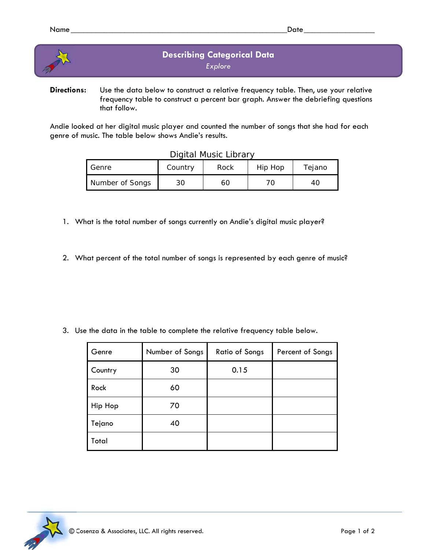

**Directions:** Use the data below to construct a relative frequency table. Then, use your relative frequency table to construct a percent bar graph. Answer the debriefing questions that follow.

Andie looked at her digital music player and counted the number of songs that she had for each genre of music. The table below shows Andie's results.

Digital Music Library

| Digital Music Library |         |      |         |        |  |  |  |  |
|-----------------------|---------|------|---------|--------|--|--|--|--|
| I Genre               | Country | Rock | Hip Hop | Tejano |  |  |  |  |
| Number of Songs       | 30      | 60   |         | 40     |  |  |  |  |

- 1. What is the total number of songs currently on Andie's digital music player?
- 2. What percent of the total number of songs is represented by each genre of music?

3. Use the data in the table to complete the relative frequency table below.

| Genre   | Number of Songs | <b>Ratio of Songs</b> | Percent of Songs |
|---------|-----------------|-----------------------|------------------|
| Country | 30              | 0.15                  |                  |
| Rock    | 60              |                       |                  |
| Hip Hop | 70              |                       |                  |
| Tejano  | 40              |                       |                  |
| Total   |                 |                       |                  |